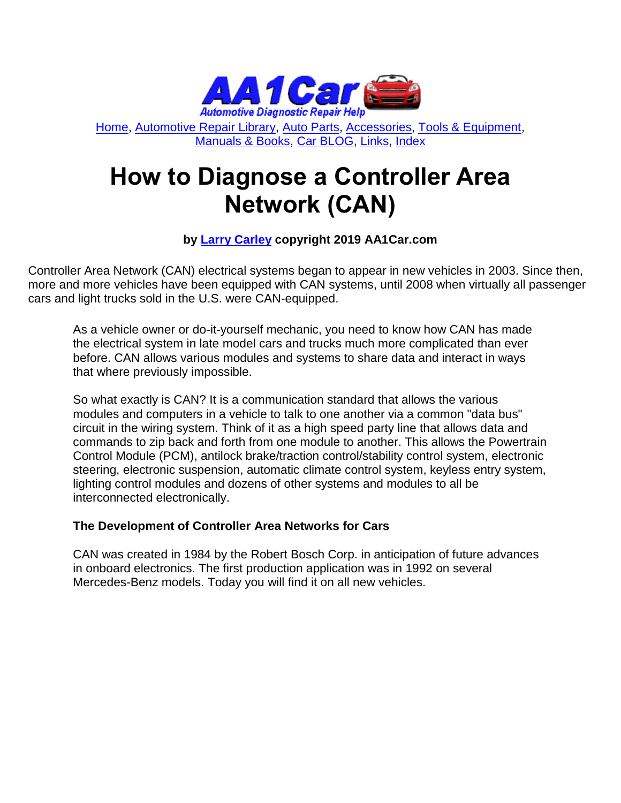

[Home,](http://www.aa1car.com/) [Automotive Repair Library,](http://www.aa1car.com/library.htm) [Auto Parts,](http://www.aa1car.com/links_parts.htm) [Accessories,](http://www.aa1car.com/links_accessories.htm) [Tools & Equipment,](http://www.aa1car.com/links_tools.htm) [Manuals & Books,](http://www.aa1car.com/links_books.htm) [Car BLOG,](http://www.aa1car.com/blog/blog.htm) [Links,](http://www.aa1car.com/links.htm) [Index](http://www.aa1car.com/index_alphabetical.htm)

# **How to Diagnose a Controller Area Network (CAN)**

#### **by [Larry Carley](https://www.aa1car.com/larrypage/larrycarley_photos.htm) copyright 2019 AA1Car.com**

Controller Area Network (CAN) electrical systems began to appear in new vehicles in 2003. Since then, more and more vehicles have been equipped with CAN systems, until 2008 when virtually all passenger cars and light trucks sold in the U.S. were CAN-equipped.

As a vehicle owner or do-it-yourself mechanic, you need to know how CAN has made the electrical system in late model cars and trucks much more complicated than ever before. CAN allows various modules and systems to share data and interact in ways that where previously impossible.

So what exactly is CAN? It is a communication standard that allows the various modules and computers in a vehicle to talk to one another via a common "data bus" circuit in the wiring system. Think of it as a high speed party line that allows data and commands to zip back and forth from one module to another. This allows the Powertrain Control Module (PCM), antilock brake/traction control/stability control system, electronic steering, electronic suspension, automatic climate control system, keyless entry system, lighting control modules and dozens of other systems and modules to all be interconnected electronically.

#### **The Development of Controller Area Networks for Cars**

CAN was created in 1984 by the Robert Bosch Corp. in anticipation of future advances in onboard electronics. The first production application was in 1992 on several Mercedes-Benz models. Today you will find it on all new vehicles.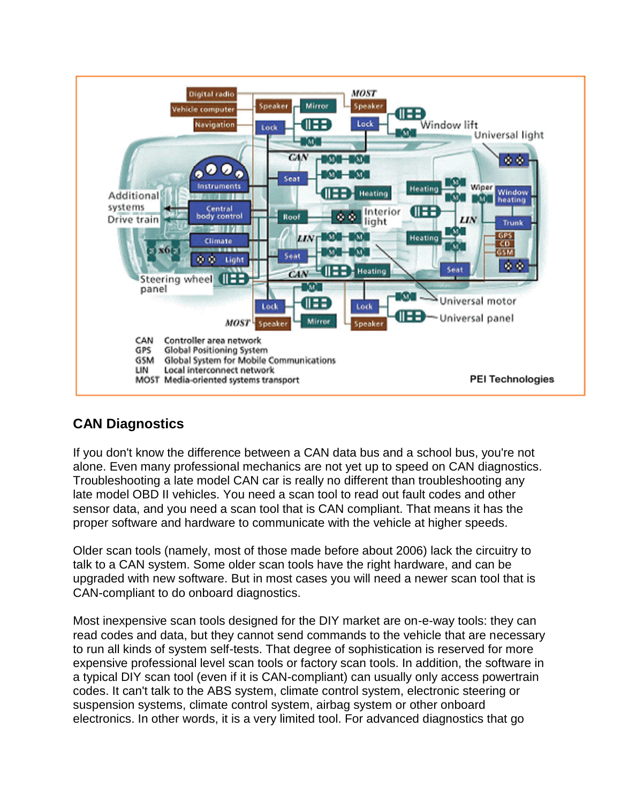

# **CAN Diagnostics**

If you don't know the difference between a CAN data bus and a school bus, you're not alone. Even many professional mechanics are not yet up to speed on CAN diagnostics. Troubleshooting a late model CAN car is really no different than troubleshooting any late model OBD II vehicles. You need a scan tool to read out fault codes and other sensor data, and you need a scan tool that is CAN compliant. That means it has the proper software and hardware to communicate with the vehicle at higher speeds.

Older scan tools (namely, most of those made before about 2006) lack the circuitry to talk to a CAN system. Some older scan tools have the right hardware, and can be upgraded with new software. But in most cases you will need a newer scan tool that is CAN-compliant to do onboard diagnostics.

Most inexpensive scan tools designed for the DIY market are on-e-way tools: they can read codes and data, but they cannot send commands to the vehicle that are necessary to run all kinds of system self-tests. That degree of sophistication is reserved for more expensive professional level scan tools or factory scan tools. In addition, the software in a typical DIY scan tool (even if it is CAN-compliant) can usually only access powertrain codes. It can't talk to the ABS system, climate control system, electronic steering or suspension systems, climate control system, airbag system or other onboard electronics. In other words, it is a very limited tool. For advanced diagnostics that go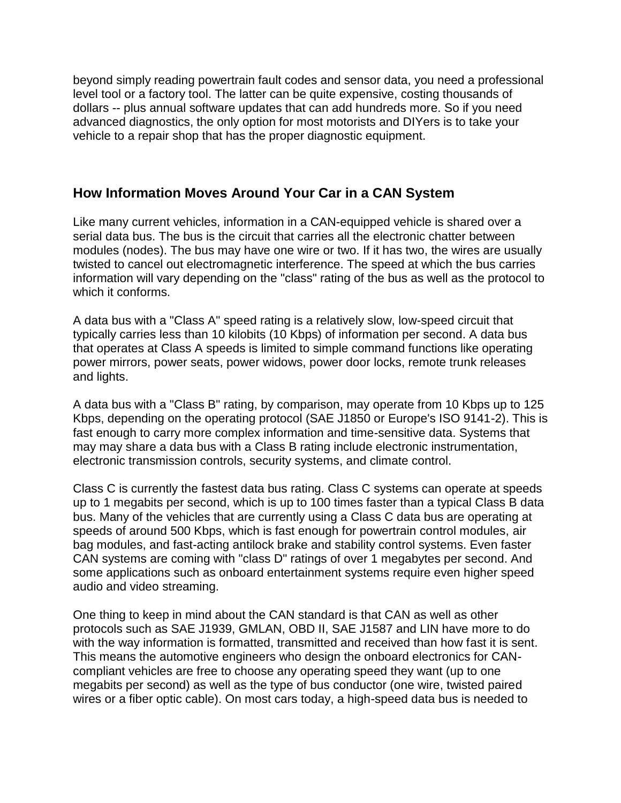beyond simply reading powertrain fault codes and sensor data, you need a professional level tool or a factory tool. The latter can be quite expensive, costing thousands of dollars -- plus annual software updates that can add hundreds more. So if you need advanced diagnostics, the only option for most motorists and DIYers is to take your vehicle to a repair shop that has the proper diagnostic equipment.

#### **How Information Moves Around Your Car in a CAN System**

Like many current vehicles, information in a CAN-equipped vehicle is shared over a serial data bus. The bus is the circuit that carries all the electronic chatter between modules (nodes). The bus may have one wire or two. If it has two, the wires are usually twisted to cancel out electromagnetic interference. The speed at which the bus carries information will vary depending on the "class" rating of the bus as well as the protocol to which it conforms.

A data bus with a "Class A" speed rating is a relatively slow, low-speed circuit that typically carries less than 10 kilobits (10 Kbps) of information per second. A data bus that operates at Class A speeds is limited to simple command functions like operating power mirrors, power seats, power widows, power door locks, remote trunk releases and lights.

A data bus with a "Class B" rating, by comparison, may operate from 10 Kbps up to 125 Kbps, depending on the operating protocol (SAE J1850 or Europe's ISO 9141-2). This is fast enough to carry more complex information and time-sensitive data. Systems that may may share a data bus with a Class B rating include electronic instrumentation, electronic transmission controls, security systems, and climate control.

Class C is currently the fastest data bus rating. Class C systems can operate at speeds up to 1 megabits per second, which is up to 100 times faster than a typical Class B data bus. Many of the vehicles that are currently using a Class C data bus are operating at speeds of around 500 Kbps, which is fast enough for powertrain control modules, air bag modules, and fast-acting antilock brake and stability control systems. Even faster CAN systems are coming with "class D" ratings of over 1 megabytes per second. And some applications such as onboard entertainment systems require even higher speed audio and video streaming.

One thing to keep in mind about the CAN standard is that CAN as well as other protocols such as SAE J1939, GMLAN, OBD II, SAE J1587 and LIN have more to do with the way information is formatted, transmitted and received than how fast it is sent. This means the automotive engineers who design the onboard electronics for CANcompliant vehicles are free to choose any operating speed they want (up to one megabits per second) as well as the type of bus conductor (one wire, twisted paired wires or a fiber optic cable). On most cars today, a high-speed data bus is needed to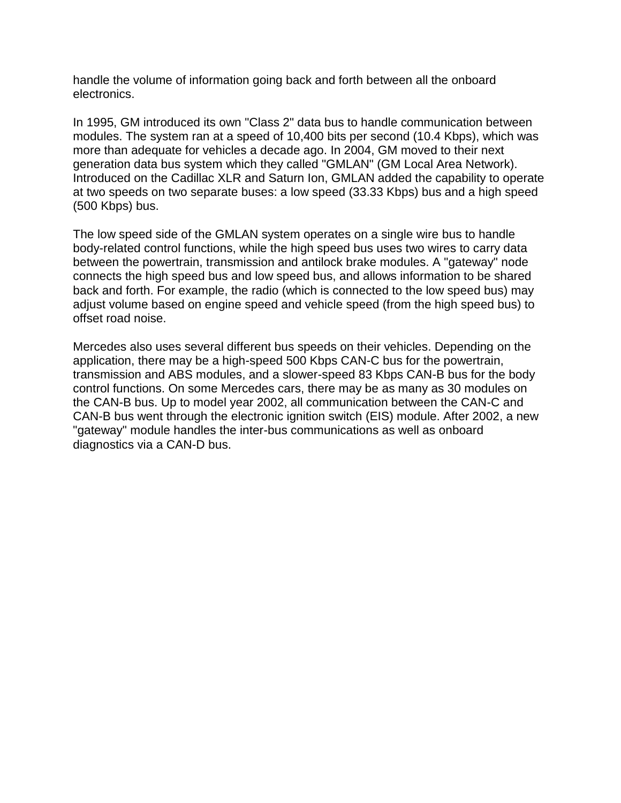handle the volume of information going back and forth between all the onboard electronics.

In 1995, GM introduced its own "Class 2" data bus to handle communication between modules. The system ran at a speed of 10,400 bits per second (10.4 Kbps), which was more than adequate for vehicles a decade ago. In 2004, GM moved to their next generation data bus system which they called "GMLAN" (GM Local Area Network). Introduced on the Cadillac XLR and Saturn Ion, GMLAN added the capability to operate at two speeds on two separate buses: a low speed (33.33 Kbps) bus and a high speed (500 Kbps) bus.

The low speed side of the GMLAN system operates on a single wire bus to handle body-related control functions, while the high speed bus uses two wires to carry data between the powertrain, transmission and antilock brake modules. A "gateway" node connects the high speed bus and low speed bus, and allows information to be shared back and forth. For example, the radio (which is connected to the low speed bus) may adjust volume based on engine speed and vehicle speed (from the high speed bus) to offset road noise.

Mercedes also uses several different bus speeds on their vehicles. Depending on the application, there may be a high-speed 500 Kbps CAN-C bus for the powertrain, transmission and ABS modules, and a slower-speed 83 Kbps CAN-B bus for the body control functions. On some Mercedes cars, there may be as many as 30 modules on the CAN-B bus. Up to model year 2002, all communication between the CAN-C and CAN-B bus went through the electronic ignition switch (EIS) module. After 2002, a new "gateway" module handles the inter-bus communications as well as onboard diagnostics via a CAN-D bus.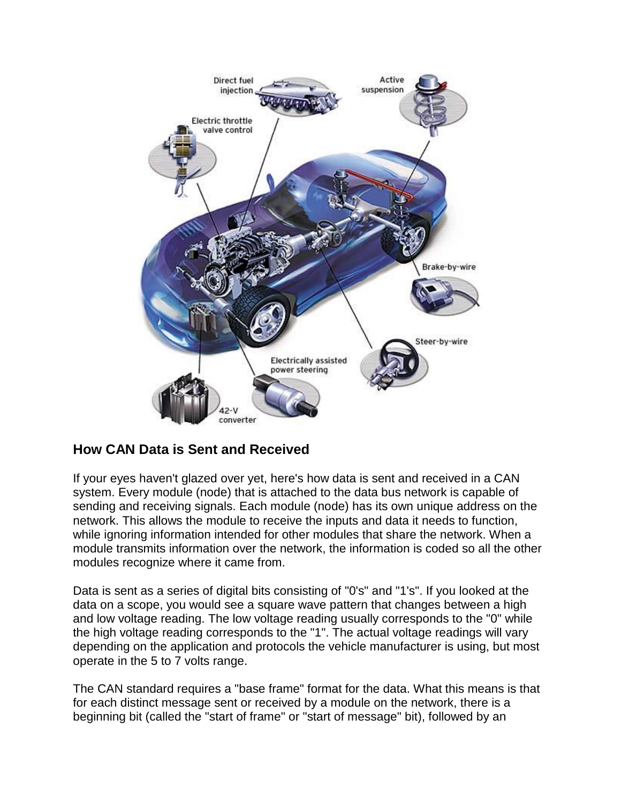

#### **How CAN Data is Sent and Received**

If your eyes haven't glazed over yet, here's how data is sent and received in a CAN system. Every module (node) that is attached to the data bus network is capable of sending and receiving signals. Each module (node) has its own unique address on the network. This allows the module to receive the inputs and data it needs to function, while ignoring information intended for other modules that share the network. When a module transmits information over the network, the information is coded so all the other modules recognize where it came from.

Data is sent as a series of digital bits consisting of "0's" and "1's". If you looked at the data on a scope, you would see a square wave pattern that changes between a high and low voltage reading. The low voltage reading usually corresponds to the "0" while the high voltage reading corresponds to the "1". The actual voltage readings will vary depending on the application and protocols the vehicle manufacturer is using, but most operate in the 5 to 7 volts range.

The CAN standard requires a "base frame" format for the data. What this means is that for each distinct message sent or received by a module on the network, there is a beginning bit (called the "start of frame" or "start of message" bit), followed by an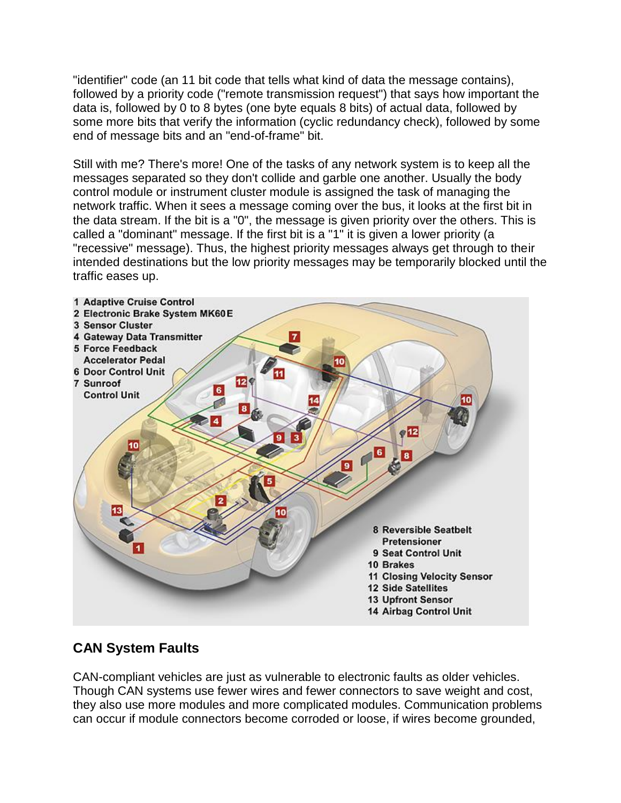"identifier" code (an 11 bit code that tells what kind of data the message contains), followed by a priority code ("remote transmission request") that says how important the data is, followed by 0 to 8 bytes (one byte equals 8 bits) of actual data, followed by some more bits that verify the information (cyclic redundancy check), followed by some end of message bits and an "end-of-frame" bit.

Still with me? There's more! One of the tasks of any network system is to keep all the messages separated so they don't collide and garble one another. Usually the body control module or instrument cluster module is assigned the task of managing the network traffic. When it sees a message coming over the bus, it looks at the first bit in the data stream. If the bit is a "0", the message is given priority over the others. This is called a "dominant" message. If the first bit is a "1" it is given a lower priority (a "recessive" message). Thus, the highest priority messages always get through to their intended destinations but the low priority messages may be temporarily blocked until the traffic eases up.



# **CAN System Faults**

CAN-compliant vehicles are just as vulnerable to electronic faults as older vehicles. Though CAN systems use fewer wires and fewer connectors to save weight and cost, they also use more modules and more complicated modules. Communication problems can occur if module connectors become corroded or loose, if wires become grounded,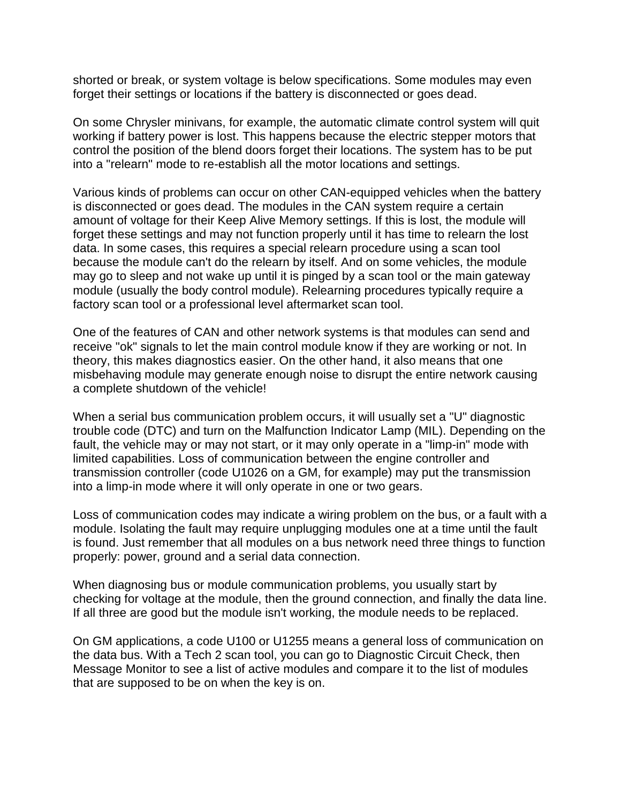shorted or break, or system voltage is below specifications. Some modules may even forget their settings or locations if the battery is disconnected or goes dead.

On some Chrysler minivans, for example, the automatic climate control system will quit working if battery power is lost. This happens because the electric stepper motors that control the position of the blend doors forget their locations. The system has to be put into a "relearn" mode to re-establish all the motor locations and settings.

Various kinds of problems can occur on other CAN-equipped vehicles when the battery is disconnected or goes dead. The modules in the CAN system require a certain amount of voltage for their Keep Alive Memory settings. If this is lost, the module will forget these settings and may not function properly until it has time to relearn the lost data. In some cases, this requires a special relearn procedure using a scan tool because the module can't do the relearn by itself. And on some vehicles, the module may go to sleep and not wake up until it is pinged by a scan tool or the main gateway module (usually the body control module). Relearning procedures typically require a factory scan tool or a professional level aftermarket scan tool.

One of the features of CAN and other network systems is that modules can send and receive "ok" signals to let the main control module know if they are working or not. In theory, this makes diagnostics easier. On the other hand, it also means that one misbehaving module may generate enough noise to disrupt the entire network causing a complete shutdown of the vehicle!

When a serial bus communication problem occurs, it will usually set a "U" diagnostic trouble code (DTC) and turn on the Malfunction Indicator Lamp (MIL). Depending on the fault, the vehicle may or may not start, or it may only operate in a "limp-in" mode with limited capabilities. Loss of communication between the engine controller and transmission controller (code U1026 on a GM, for example) may put the transmission into a limp-in mode where it will only operate in one or two gears.

Loss of communication codes may indicate a wiring problem on the bus, or a fault with a module. Isolating the fault may require unplugging modules one at a time until the fault is found. Just remember that all modules on a bus network need three things to function properly: power, ground and a serial data connection.

When diagnosing bus or module communication problems, you usually start by checking for voltage at the module, then the ground connection, and finally the data line. If all three are good but the module isn't working, the module needs to be replaced.

On GM applications, a code U100 or U1255 means a general loss of communication on the data bus. With a Tech 2 scan tool, you can go to Diagnostic Circuit Check, then Message Monitor to see a list of active modules and compare it to the list of modules that are supposed to be on when the key is on.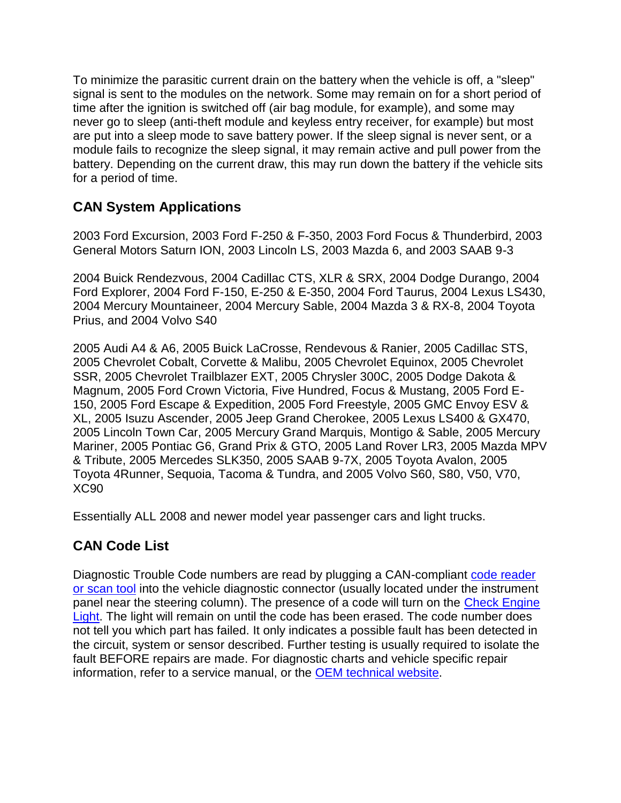To minimize the parasitic current drain on the battery when the vehicle is off, a "sleep" signal is sent to the modules on the network. Some may remain on for a short period of time after the ignition is switched off (air bag module, for example), and some may never go to sleep (anti-theft module and keyless entry receiver, for example) but most are put into a sleep mode to save battery power. If the sleep signal is never sent, or a module fails to recognize the sleep signal, it may remain active and pull power from the battery. Depending on the current draw, this may run down the battery if the vehicle sits for a period of time.

## **CAN System Applications**

2003 Ford Excursion, 2003 Ford F-250 & F-350, 2003 Ford Focus & Thunderbird, 2003 General Motors Saturn ION, 2003 Lincoln LS, 2003 Mazda 6, and 2003 SAAB 9-3

2004 Buick Rendezvous, 2004 Cadillac CTS, XLR & SRX, 2004 Dodge Durango, 2004 Ford Explorer, 2004 Ford F-150, E-250 & E-350, 2004 Ford Taurus, 2004 Lexus LS430, 2004 Mercury Mountaineer, 2004 Mercury Sable, 2004 Mazda 3 & RX-8, 2004 Toyota Prius, and 2004 Volvo S40

2005 Audi A4 & A6, 2005 Buick LaCrosse, Rendevous & Ranier, 2005 Cadillac STS, 2005 Chevrolet Cobalt, Corvette & Malibu, 2005 Chevrolet Equinox, 2005 Chevrolet SSR, 2005 Chevrolet Trailblazer EXT, 2005 Chrysler 300C, 2005 Dodge Dakota & Magnum, 2005 Ford Crown Victoria, Five Hundred, Focus & Mustang, 2005 Ford E-150, 2005 Ford Escape & Expedition, 2005 Ford Freestyle, 2005 GMC Envoy ESV & XL, 2005 Isuzu Ascender, 2005 Jeep Grand Cherokee, 2005 Lexus LS400 & GX470, 2005 Lincoln Town Car, 2005 Mercury Grand Marquis, Montigo & Sable, 2005 Mercury Mariner, 2005 Pontiac G6, Grand Prix & GTO, 2005 Land Rover LR3, 2005 Mazda MPV & Tribute, 2005 Mercedes SLK350, 2005 SAAB 9-7X, 2005 Toyota Avalon, 2005 Toyota 4Runner, Sequoia, Tacoma & Tundra, and 2005 Volvo S60, S80, V50, V70, XC90

Essentially ALL 2008 and newer model year passenger cars and light trucks.

## **CAN Code List**

Diagnostic Trouble Code numbers are read by plugging a CAN-compliant [code reader](http://www.aa1car.com/scantoolhelp/)  [or scan tool](http://www.aa1car.com/scantoolhelp/) into the vehicle diagnostic connector (usually located under the instrument panel near the steering column). The presence of a code will turn on the [Check Engine](http://www.aa1car.com/codes.htm)  [Light.](http://www.aa1car.com/codes.htm) The light will remain on until the code has been erased. The code number does not tell you which part has failed. It only indicates a possible fault has been detected in the circuit, system or sensor described. Further testing is usually required to isolate the fault BEFORE repairs are made. For diagnostic charts and vehicle specific repair information, refer to a service manual, or the [OEM technical website.](http://www.aa1car.com/library/oemwebsites.htm)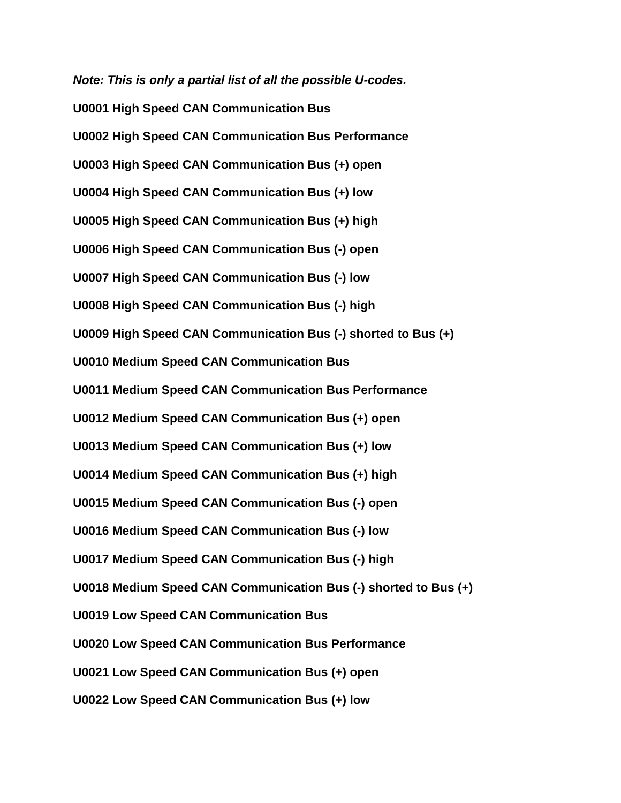*Note: This is only a partial list of all the possible U-codes.* **U0001 High Speed CAN Communication Bus U0002 High Speed CAN Communication Bus Performance U0003 High Speed CAN Communication Bus (+) open U0004 High Speed CAN Communication Bus (+) low U0005 High Speed CAN Communication Bus (+) high U0006 High Speed CAN Communication Bus (-) open U0007 High Speed CAN Communication Bus (-) low U0008 High Speed CAN Communication Bus (-) high U0009 High Speed CAN Communication Bus (-) shorted to Bus (+) U0010 Medium Speed CAN Communication Bus U0011 Medium Speed CAN Communication Bus Performance U0012 Medium Speed CAN Communication Bus (+) open U0013 Medium Speed CAN Communication Bus (+) low U0014 Medium Speed CAN Communication Bus (+) high U0015 Medium Speed CAN Communication Bus (-) open U0016 Medium Speed CAN Communication Bus (-) low U0017 Medium Speed CAN Communication Bus (-) high U0018 Medium Speed CAN Communication Bus (-) shorted to Bus (+) U0019 Low Speed CAN Communication Bus U0020 Low Speed CAN Communication Bus Performance U0021 Low Speed CAN Communication Bus (+) open U0022 Low Speed CAN Communication Bus (+) low**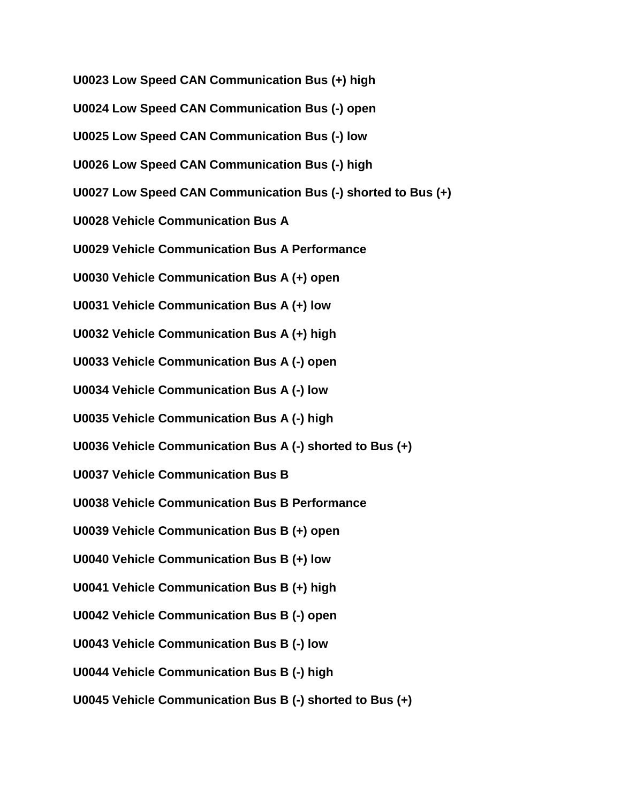**U0023 Low Speed CAN Communication Bus (+) high U0024 Low Speed CAN Communication Bus (-) open U0025 Low Speed CAN Communication Bus (-) low U0026 Low Speed CAN Communication Bus (-) high U0027 Low Speed CAN Communication Bus (-) shorted to Bus (+) U0028 Vehicle Communication Bus A U0029 Vehicle Communication Bus A Performance U0030 Vehicle Communication Bus A (+) open U0031 Vehicle Communication Bus A (+) low U0032 Vehicle Communication Bus A (+) high U0033 Vehicle Communication Bus A (-) open U0034 Vehicle Communication Bus A (-) low U0035 Vehicle Communication Bus A (-) high U0036 Vehicle Communication Bus A (-) shorted to Bus (+) U0037 Vehicle Communication Bus B U0038 Vehicle Communication Bus B Performance U0039 Vehicle Communication Bus B (+) open U0040 Vehicle Communication Bus B (+) low U0041 Vehicle Communication Bus B (+) high U0042 Vehicle Communication Bus B (-) open U0043 Vehicle Communication Bus B (-) low U0044 Vehicle Communication Bus B (-) high U0045 Vehicle Communication Bus B (-) shorted to Bus (+)**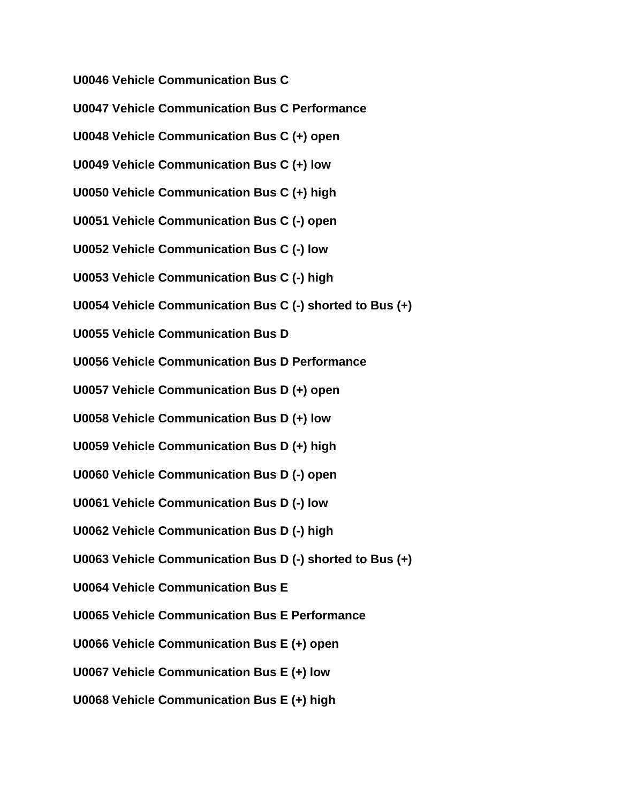**U0046 Vehicle Communication Bus C**

**U0047 Vehicle Communication Bus C Performance U0048 Vehicle Communication Bus C (+) open U0049 Vehicle Communication Bus C (+) low U0050 Vehicle Communication Bus C (+) high U0051 Vehicle Communication Bus C (-) open U0052 Vehicle Communication Bus C (-) low U0053 Vehicle Communication Bus C (-) high U0054 Vehicle Communication Bus C (-) shorted to Bus (+) U0055 Vehicle Communication Bus D U0056 Vehicle Communication Bus D Performance U0057 Vehicle Communication Bus D (+) open U0058 Vehicle Communication Bus D (+) low U0059 Vehicle Communication Bus D (+) high U0060 Vehicle Communication Bus D (-) open U0061 Vehicle Communication Bus D (-) low U0062 Vehicle Communication Bus D (-) high U0063 Vehicle Communication Bus D (-) shorted to Bus (+) U0064 Vehicle Communication Bus E U0065 Vehicle Communication Bus E Performance U0066 Vehicle Communication Bus E (+) open U0067 Vehicle Communication Bus E (+) low U0068 Vehicle Communication Bus E (+) high**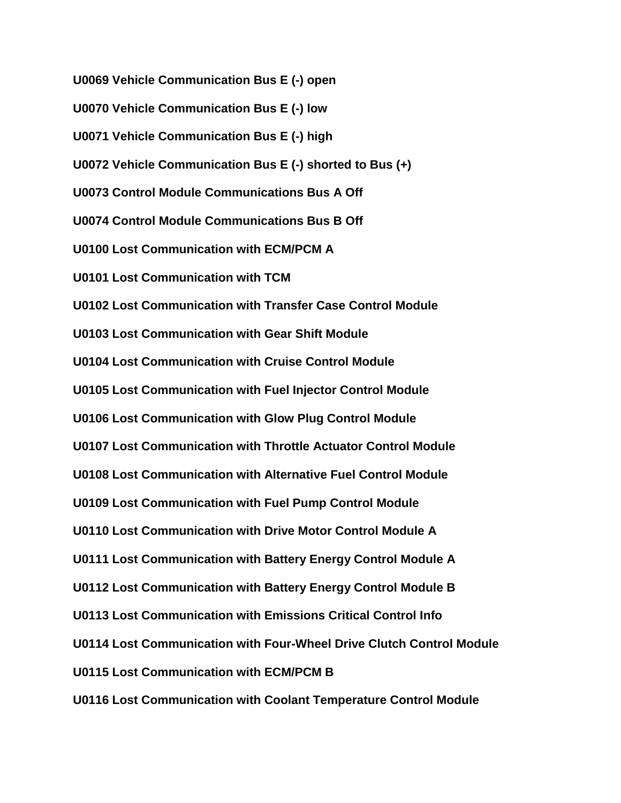**U0069 Vehicle Communication Bus E (-) open U0070 Vehicle Communication Bus E (-) low U0071 Vehicle Communication Bus E (-) high U0072 Vehicle Communication Bus E (-) shorted to Bus (+) U0073 Control Module Communications Bus A Off U0074 Control Module Communications Bus B Off U0100 Lost Communication with ECM/PCM A U0101 Lost Communication with TCM U0102 Lost Communication with Transfer Case Control Module U0103 Lost Communication with Gear Shift Module U0104 Lost Communication with Cruise Control Module U0105 Lost Communication with Fuel Injector Control Module U0106 Lost Communication with Glow Plug Control Module U0107 Lost Communication with Throttle Actuator Control Module U0108 Lost Communication with Alternative Fuel Control Module U0109 Lost Communication with Fuel Pump Control Module U0110 Lost Communication with Drive Motor Control Module A U0111 Lost Communication with Battery Energy Control Module A U0112 Lost Communication with Battery Energy Control Module B U0113 Lost Communication with Emissions Critical Control Info U0114 Lost Communication with Four-Wheel Drive Clutch Control Module U0115 Lost Communication with ECM/PCM B U0116 Lost Communication with Coolant Temperature Control Module**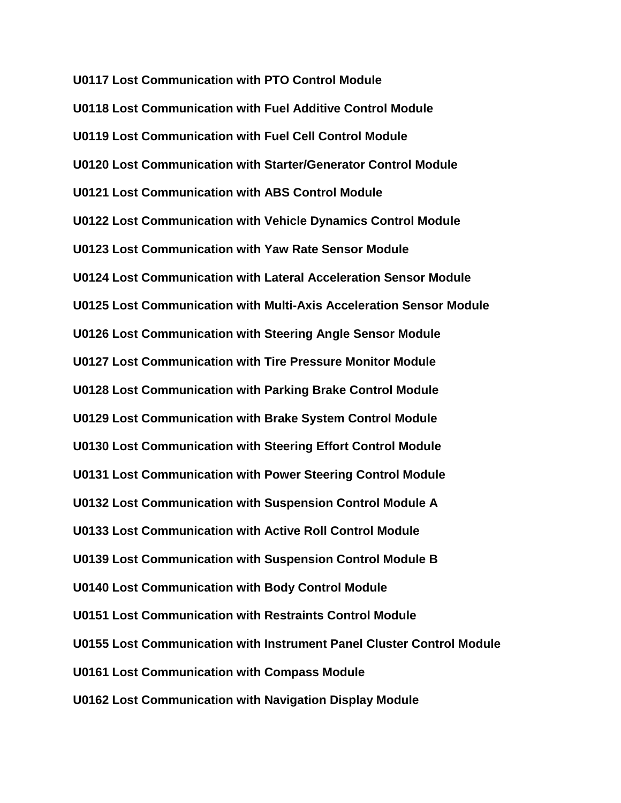**U0117 Lost Communication with PTO Control Module U0118 Lost Communication with Fuel Additive Control Module U0119 Lost Communication with Fuel Cell Control Module U0120 Lost Communication with Starter/Generator Control Module U0121 Lost Communication with ABS Control Module U0122 Lost Communication with Vehicle Dynamics Control Module U0123 Lost Communication with Yaw Rate Sensor Module U0124 Lost Communication with Lateral Acceleration Sensor Module U0125 Lost Communication with Multi-Axis Acceleration Sensor Module U0126 Lost Communication with Steering Angle Sensor Module U0127 Lost Communication with Tire Pressure Monitor Module U0128 Lost Communication with Parking Brake Control Module U0129 Lost Communication with Brake System Control Module U0130 Lost Communication with Steering Effort Control Module U0131 Lost Communication with Power Steering Control Module U0132 Lost Communication with Suspension Control Module A U0133 Lost Communication with Active Roll Control Module U0139 Lost Communication with Suspension Control Module B U0140 Lost Communication with Body Control Module U0151 Lost Communication with Restraints Control Module U0155 Lost Communication with Instrument Panel Cluster Control Module U0161 Lost Communication with Compass Module U0162 Lost Communication with Navigation Display Module**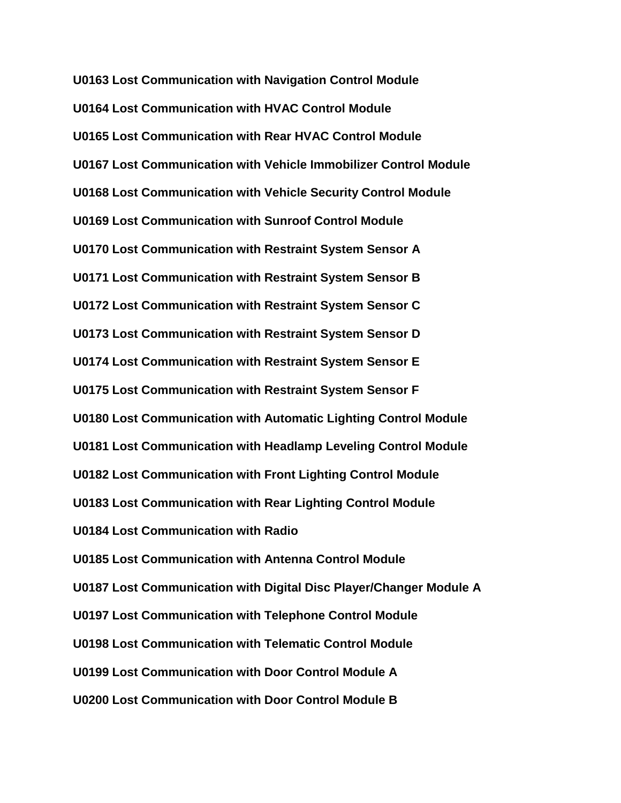**U0163 Lost Communication with Navigation Control Module U0164 Lost Communication with HVAC Control Module U0165 Lost Communication with Rear HVAC Control Module U0167 Lost Communication with Vehicle Immobilizer Control Module U0168 Lost Communication with Vehicle Security Control Module U0169 Lost Communication with Sunroof Control Module U0170 Lost Communication with Restraint System Sensor A U0171 Lost Communication with Restraint System Sensor B U0172 Lost Communication with Restraint System Sensor C U0173 Lost Communication with Restraint System Sensor D U0174 Lost Communication with Restraint System Sensor E U0175 Lost Communication with Restraint System Sensor F U0180 Lost Communication with Automatic Lighting Control Module U0181 Lost Communication with Headlamp Leveling Control Module U0182 Lost Communication with Front Lighting Control Module U0183 Lost Communication with Rear Lighting Control Module U0184 Lost Communication with Radio U0185 Lost Communication with Antenna Control Module U0187 Lost Communication with Digital Disc Player/Changer Module A U0197 Lost Communication with Telephone Control Module U0198 Lost Communication with Telematic Control Module U0199 Lost Communication with Door Control Module A U0200 Lost Communication with Door Control Module B**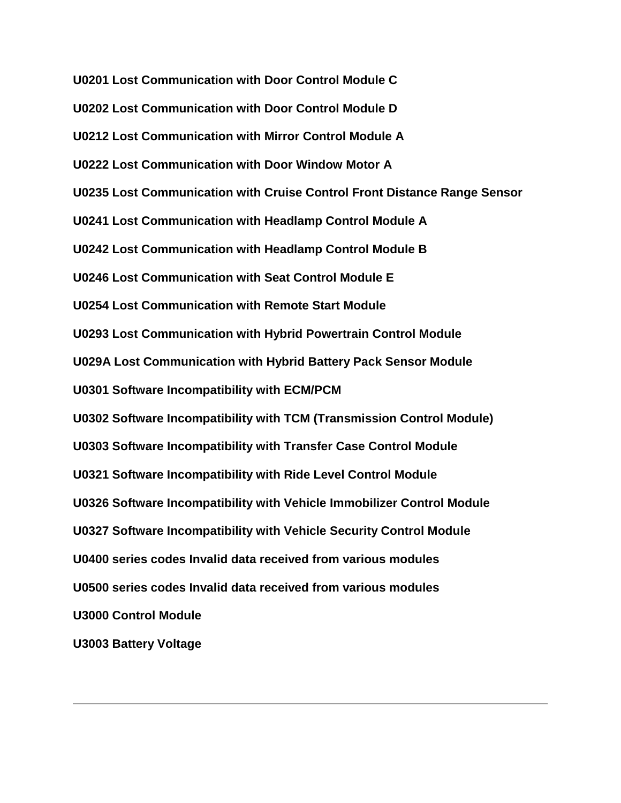**U0201 Lost Communication with Door Control Module C U0202 Lost Communication with Door Control Module D U0212 Lost Communication with Mirror Control Module A U0222 Lost Communication with Door Window Motor A U0235 Lost Communication with Cruise Control Front Distance Range Sensor U0241 Lost Communication with Headlamp Control Module A U0242 Lost Communication with Headlamp Control Module B U0246 Lost Communication with Seat Control Module E U0254 Lost Communication with Remote Start Module U0293 Lost Communication with Hybrid Powertrain Control Module U029A Lost Communication with Hybrid Battery Pack Sensor Module U0301 Software Incompatibility with ECM/PCM U0302 Software Incompatibility with TCM (Transmission Control Module) U0303 Software Incompatibility with Transfer Case Control Module U0321 Software Incompatibility with Ride Level Control Module U0326 Software Incompatibility with Vehicle Immobilizer Control Module U0327 Software Incompatibility with Vehicle Security Control Module U0400 series codes Invalid data received from various modules U0500 series codes Invalid data received from various modules U3000 Control Module U3003 Battery Voltage**